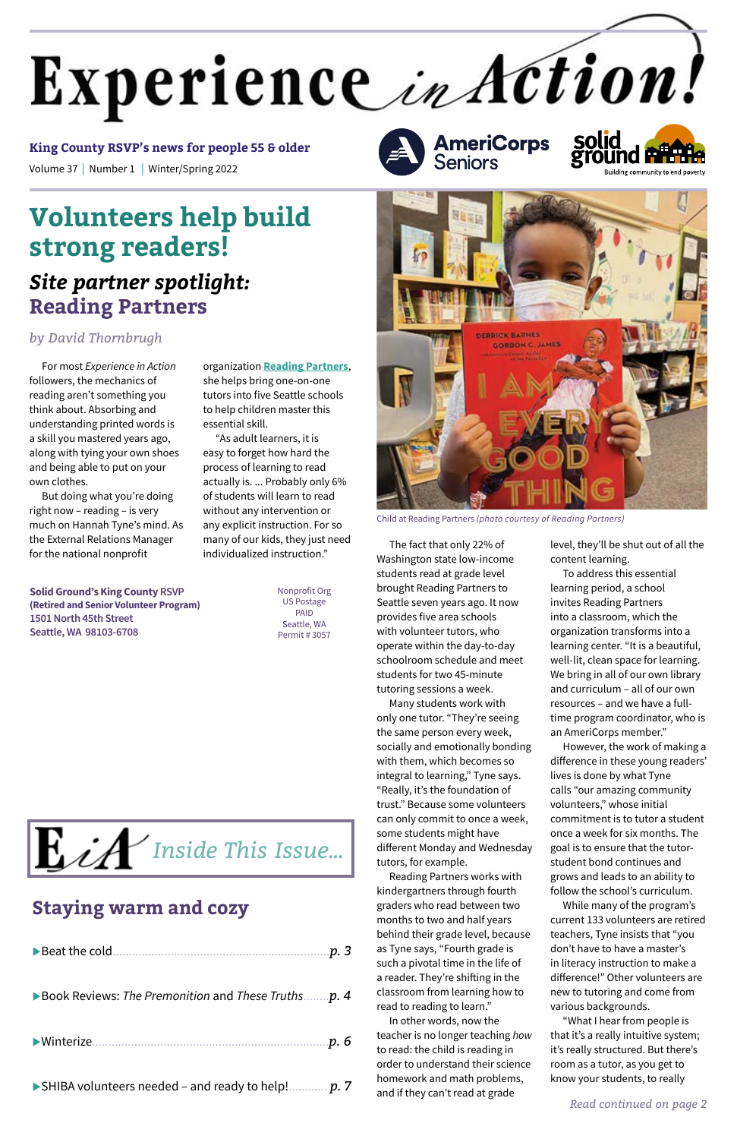For most *Experience in Action*  followers, the mechanics of reading aren't something you think about. Absorbing and understanding printed words is a skill you mastered years ago, along with tying your own shoes and being able to put on your own clothes.

But doing what you're doing right now – reading – is very much on Hannah Tyne's mind. As the External Relations Manager for the national nonprofit

# **Volunteers help build strong readers!**

# *Site partner spotlight:*  **Reading Partners**

### *by David Thornbrugh*

organization **[Reading Partners](https://readingpartners.org/)**, she helps bring one-on-one tutors into five Seattle schools to help children master this essential skill.

"As adult learners, it is easy to forget how hard the process of learning to read actually is. ... Probably only 6% of students will learn to read without any intervention or any explicit instruction. For so many of our kids, they just need individualized instruction." The fact that only 22% of

Washington state low-income students read at grade level brought Reading Partners to Seattle seven years ago. It now provides five area schools with volunteer tutors, who operate within the day-to-day schoolroom schedule and meet students for two 45-minute tutoring sessions a week.

Many students work with only one tutor. "They're seeing the same person every week, socially and emotionally bonding with them, which becomes so integral to learning," Tyne says. "Really, it's the foundation of trust." Because some volunteers can only commit to once a week, some students might have different Monday and Wednesday tutors, for example. Reading Partners works with kindergartners through fourth graders who read between two months to two and half years behind their grade level, because as Tyne says, "Fourth grade is such a pivotal time in the life of a reader. They're shifting in the classroom from learning how to read to reading to learn." In other words, now the teacher is no longer teaching *how* to read: the child is reading in order to understand their science homework and math problems, and if they can't read at grade

# Experience in Action!

Volume 37 | Number 1 | Winter/Spring 2022 **King County RSVP's news for people 55 & older**

> level, they'll be shut out of all the content learning.

To address this essential learning period, a school invites Reading Partners into a classroom, which the organization transforms into a learning center. "It is a beautiful, well-lit, clean space for learning. We bring in all of our own library and curriculum – all of our own resources – and we have a fulltime program coordinator, who is an AmeriCorps member."

However, the work of making a difference in these young readers' lives is done by what Tyne calls "our amazing community volunteers," whose initial commitment is to tutor a student once a week for six months. The goal is to ensure that the tutorstudent bond continues and grows and leads to an ability to follow the school's curriculum. While many of the program's current 133 volunteers are retired teachers, Tyne insists that "you don't have to have a master's in literacy instruction to make a difference!" Other volunteers are new to tutoring and come from various backgrounds. "What I hear from people is that it's a really intuitive system; it's really structured. But there's room as a tutor, as you get to know your students, to really



Child at Reading Partners *(photo courtesy of Reading Partners)*

**Solid Ground's King County RSVP (Retired and Senior Volunteer Program) 1501 North 45th Street Seattle, WA 98103-6708**

Nonprofit Org US Postage PAID Seattle, WA Permit # 3057 **AmeriCorps**<br>Seniors



$$
\blacktriangleright \text{beat the cold}
$$

▶ Book Reviews: *The Premonition* and *These Truths........p.* 4

uWinterize.........................................................................*p. 6*

▶ SHIBA volunteers needed – and ready to help!............. *p.* 7

# **Staying warm and cozy**

*Read continued on page 2*

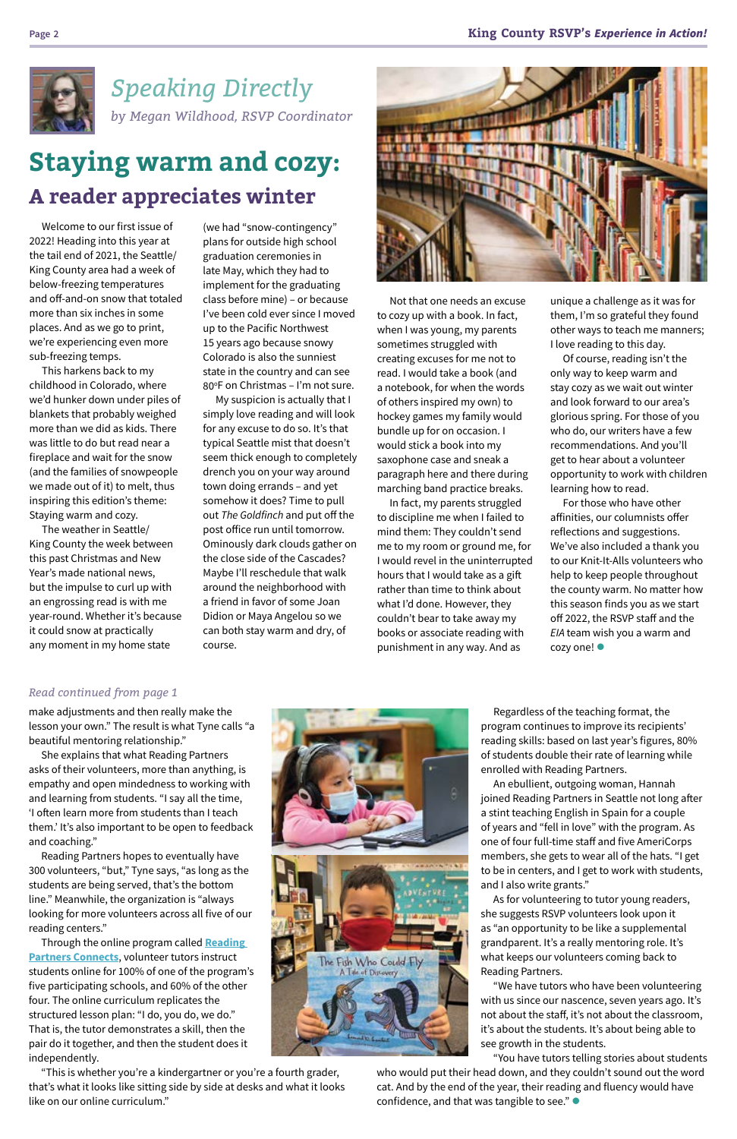

Welcome to our first issue of 2022! Heading into this year at the tail end of 2021, the Seattle/ King County area had a week of below-freezing temperatures and off-and-on snow that totaled more than six inches in some places. And as we go to print, we're experiencing even more sub-freezing temps.

(we had "snow-contingency" plans for outside high school graduation ceremonies in late May, which they had to implement for the graduating class before mine) – or because I've been cold ever since I moved up to the Pacific Northwest 15 years ago because snowy Colorado is also the sunniest state in the country and can see 80°F on Christmas – I'm not sure.

This harkens back to my childhood in Colorado, where we'd hunker down under piles of blankets that probably weighed more than we did as kids. There was little to do but read near a fireplace and wait for the snow (and the families of snowpeople we made out of it) to melt, thus inspiring this edition's theme: Staying warm and cozy.

The weather in Seattle/ King County the week between this past Christmas and New Year's made national news, but the impulse to curl up with an engrossing read is with me year-round. Whether it's because it could snow at practically any moment in my home state

For those who have other affinities, our columnists offer reflections and suggestions. We've also included a thank you to our Knit-It-Alls volunteers who help to keep people throughout the county warm. No matter how this season finds you as we start off 2022, the RSVP staff and the *EIA* team wish you a warm and  $cozy$  one!

My suspicion is actually that I simply love reading and will look for any excuse to do so. It's that typical Seattle mist that doesn't seem thick enough to completely drench you on your way around town doing errands – and yet somehow it does? Time to pull out *The Goldfinch* and put off the post office run until tomorrow. Ominously dark clouds gather on the close side of the Cascades? Maybe I'll reschedule that walk around the neighborhood with a friend in favor of some Joan Didion or Maya Angelou so we can both stay warm and dry, of course.



# **Staying warm and cozy: A reader appreciates winter**

Not that one needs an excuse to cozy up with a book. In fact, when I was young, my parents sometimes struggled with creating excuses for me not to read. I would take a book (and a notebook, for when the words of others inspired my own) to hockey games my family would bundle up for on occasion. I would stick a book into my saxophone case and sneak a paragraph here and there during marching band practice breaks.

In fact, my parents struggled to discipline me when I failed to mind them: They couldn't send me to my room or ground me, for I would revel in the uninterrupted hours that I would take as a gift rather than time to think about what I'd done. However, they couldn't bear to take away my books or associate reading with punishment in any way. And as

unique a challenge as it was for them, I'm so grateful they found other ways to teach me manners; I love reading to this day.

who would put their head down, and they couldn't sound out the word cat. And by the end of the year, their reading and fluency would have confidence, and that was tangible to see."  $\bullet$ 

Of course, reading isn't the only way to keep warm and stay cozy as we wait out winter and look forward to our area's glorious spring. For those of you who do, our writers have a few recommendations. And you'll get to hear about a volunteer opportunity to work with children learning how to read.

*Speaking Directly by Megan Wildhood, RSVP Coordinator*

make adjustments and then really make the lesson your own." The result is what Tyne calls "a beautiful mentoring relationship."

She explains that what Reading Partners asks of their volunteers, more than anything, is empathy and open mindedness to working with and learning from students. "I say all the time, 'I often learn more from students than I teach them.' It's also important to be open to feedback



and coaching."

Reading Partners hopes to eventually have 300 volunteers, "but," Tyne says, "as long as the students are being served, that's the bottom line." Meanwhile, the organization is "always looking for more volunteers across all five of our reading centers."

Through the online program called **[Reading](https://www.youtube.com/watch?v=K1lZNLQImI4)  [Partners Connects](https://www.youtube.com/watch?v=K1lZNLQImI4)**, volunteer tutors instruct students online for 100% of one of the program's five participating schools, and 60% of the other four. The online curriculum replicates the structured lesson plan: "I do, you do, we do." That is, the tutor demonstrates a skill, then the pair do it together, and then the student does it independently.

The Fish Who Could Fly<br>A Take of Discovery

"This is whether you're a kindergartner or you're a fourth grader, that's what it looks like sitting side by side at desks and what it looks like on our online curriculum."

### *Read continued from page 1*

Regardless of the teaching format, the program continues to improve its recipients' reading skills: based on last year's figures, 80% of students double their rate of learning while enrolled with Reading Partners.

An ebullient, outgoing woman, Hannah joined Reading Partners in Seattle not long after a stint teaching English in Spain for a couple of years and "fell in love" with the program. As one of four full-time staff and five AmeriCorps members, she gets to wear all of the hats. "I get to be in centers, and I get to work with students, and I also write grants." As for volunteering to tutor young readers, she suggests RSVP volunteers look upon it as "an opportunity to be like a supplemental grandparent. It's a really mentoring role. It's what keeps our volunteers coming back to Reading Partners. "We have tutors who have been volunteering with us since our nascence, seven years ago. It's not about the staff, it's not about the classroom, it's about the students. It's about being able to see growth in the students.

"You have tutors telling stories about students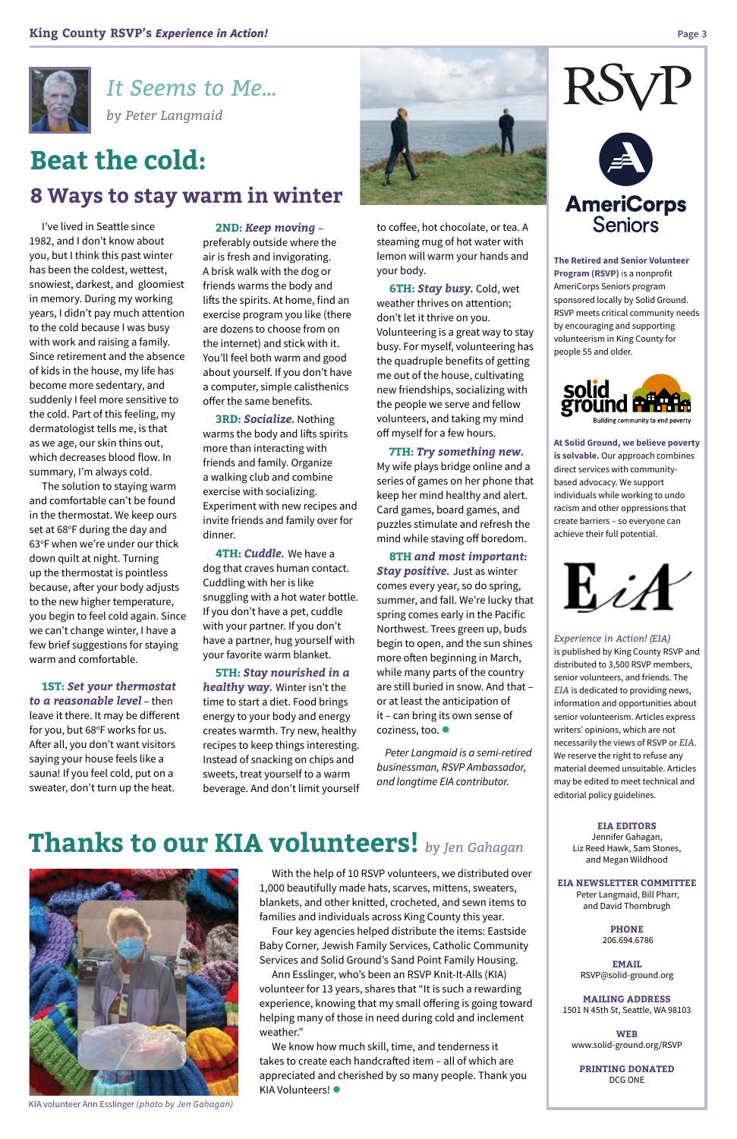I've lived in Seattle since 1982, and I don't know about you, but I think this past winter has been the coldest, wettest, snowiest, darkest, and gloomiest in memory. During my working years, I didn't pay much attention to the cold because I was busy with work and raising a family. Since retirement and the absence of kids in the house, my life has become more sedentary, and suddenly I feel more sensitive to the cold. Part of this feeling, my dermatologist tells me, is that as we age, our skin thins out, which decreases blood flow. In summary, I'm always cold.

The solution to staying warm and comfortable can't be found in the thermostat. We keep ours set at 68°F during the day and 63°F when we're under our thick down quilt at night. Turning up the thermostat is pointless because, after your body adjusts to the new higher temperature, you begin to feel cold again. Since we can't change winter, I have a few brief suggestions for staying warm and comfortable.

**1ST:** *Set your thermostat to a reasonable level* – then leave it there. It may be different for you, but 68°F works for us. After all, you don't want visitors saying your house feels like a sauna! If you feel cold, put on a sweater, don't turn up the heat.

#### **2ND:** *Keep moving* –

preferably outside where the air is fresh and invigorating. A brisk walk with the dog or friends warms the body and lifts the spirits. At home, find an exercise program you like (there are dozens to choose from on the internet) and stick with it. You'll feel both warm and good about yourself. If you don't have a computer, simple calisthenics offer the same benefits.

> **8TH** *and most important:*  **Stay positive.** Just as winter comes every year, so do spring, summer, and fall. We're lucky that spring comes early in the Pacific Northwest. Trees green up, buds begin to open, and the sun shines more often beginning in March, while many parts of the country are still buried in snow. And that – or at least the anticipation of it – can bring its own sense of coziness, too.  $\bullet$

**3RD:** *Socialize.* Nothing warms the body and lifts spirits more than interacting with friends and family. Organize a walking club and combine exercise with socializing. Experiment with new recipes and invite friends and family over for dinner.

**4TH:** *Cuddle.* We have a dog that craves human contact. Cuddling with her is like snuggling with a hot water bottle. If you don't have a pet, cuddle with your partner. If you don't have a partner, hug yourself with your favorite warm blanket.

**5TH:** *Stay nourished in a healthy way.* Winter isn't the time to start a diet. Food brings energy to your body and energy creates warmth. Try new, healthy recipes to keep things interesting. Instead of snacking on chips and sweets, treat yourself to a warm beverage. And don't limit yourself



to coffee, hot chocolate, or tea. A steaming mug of hot water with lemon will warm your hands and your body.

**6TH:** *Stay busy.* Cold, wet weather thrives on attention; don't let it thrive on you. Volunteering is a great way to stay busy. For myself, volunteering has the quadruple benefits of getting me out of the house, cultivating new friendships, socializing with the people we serve and fellow volunteers, and taking my mind off myself for a few hours.

We know how much skill, time, and tenderness it takes to create each handcrafted item – all of which are appreciated and cherished by so many people. Thank you KIA Volunteers! ·

**7TH:** *Try something new.*  My wife plays bridge online and a series of games on her phone that keep her mind healthy and alert. Card games, board games, and puzzles stimulate and refresh the mind while staving off boredom.

*Peter Langmaid is a semi-retired businessman, RSVP Ambassador, and longtime EIA contributor.*





*It Seems to Me... by Peter Langmaid*



**The Retired and Senior Volunteer Program (RSVP)** is a nonprofit AmeriCorps Seniors program sponsored locally by Solid Ground. RSVP meets critical community needs by encouraging and supporting volunteerism in King County for people 55 and older.



**At Solid Ground, we believe poverty is solvable.** Our approach combines direct services with communitybased advocacy. We support individuals while working to undo racism and other oppressions that create barriers – so everyone can achieve their full potential.



*Experience in Action! (EIA)*

is published by King County RSVP and distributed to 3,500 RSVP members, senior volunteers, and friends. The *EIA* is dedicated to providing news, information and opportunities about senior volunteerism. Articles express writers' opinions, which are not necessarily the views of RSVP or *EIA*. We reserve the right to refuse any material deemed unsuitable. Articles may be edited to meet technical and editorial policy guidelines.

> **EIA EDITORS** Jennifer Gahagan, Liz Reed Hawk, Sam Stones, and Megan Wildhood

#### **EIA NEWSLETTER COMMITTEE**

 Peter Langmaid, Bill Pharr, and David Thornbrugh

> **PHONE** 206.694.6786

**EMAIL**  [RSVP@solid-ground.org](mailto:RSVP@solid-ground.org)

**MAILING ADDRESS**  1501 N 45th St, Seattle, WA 98103

**WEB** www.solid-ground.org/RSVP

**PRINTING DONATED** DCG ONE

# **Beat the cold: 8 Ways to stay warm in winter**

# **Thanks to our KIA volunteers!** *by Jen Gahagan*



KIA volunteer Ann Esslinger *(photo by Jen Gahagan)*

With the help of 10 RSVP volunteers, we distributed over 1,000 beautifully made hats, scarves, mittens, sweaters, blankets, and other knitted, crocheted, and sewn items to families and individuals across King County this year.

Four key agencies helped distribute the items: Eastside Baby Corner, Jewish Family Services, Catholic Community Services and Solid Ground's Sand Point Family Housing. Ann Esslinger, who's been an RSVP Knit-It-Alls (KIA) volunteer for 13 years, shares that "It is such a rewarding experience, knowing that my small offering is going toward helping many of those in need during cold and inclement weather."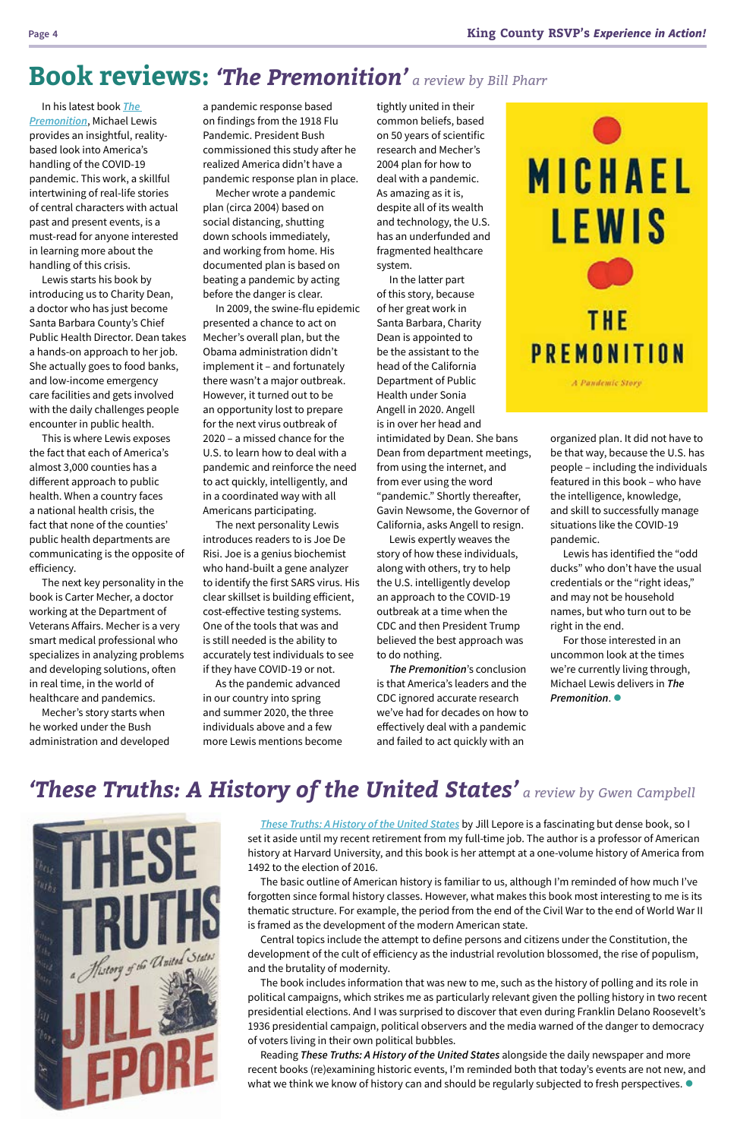a pandemic response based on findings from the 1918 Flu Pandemic. President Bush commissioned this study after he realized America didn't have a pandemic response plan in place.

Mecher wrote a pandemic plan (circa 2004) based on social distancing, shutting down schools immediately, and working from home. His documented plan is based on beating a pandemic by acting before the danger is clear.

In 2009, the swine-flu epidemic presented a chance to act on Mecher's overall plan, but the Obama administration didn't implement it – and fortunately there wasn't a major outbreak. However, it turned out to be an opportunity lost to prepare for the next virus outbreak of 2020 – a missed chance for the U.S. to learn how to deal with a pandemic and reinforce the need to act quickly, intelligently, and in a coordinated way with all Americans participating.

The next personality Lewis introduces readers to is Joe De Risi. Joe is a genius biochemist who hand-built a gene analyzer to identify the first SARS virus. His clear skillset is building efficient, cost-effective testing systems. One of the tools that was and is still needed is the ability to accurately test individuals to see if they have COVID-19 or not.

As the pandemic advanced in our country into spring and summer 2020, the three individuals above and a few more Lewis mentions become

In his latest book *[The](https://www.theguardian.com/books/2021/may/05/the-premonition-by-michael-lewis-review-a-pandemic-story)  [Premonition](https://www.theguardian.com/books/2021/may/05/the-premonition-by-michael-lewis-review-a-pandemic-story)*, Michael Lewis provides an insightful, realitybased look into America's handling of the COVID-19 pandemic. This work, a skillful intertwining of real-life stories of central characters with actual past and present events, is a must-read for anyone interested in learning more about the handling of this crisis.

Lewis starts his book by introducing us to Charity Dean, a doctor who has just become Santa Barbara County's Chief Public Health Director. Dean takes a hands-on approach to her job. She actually goes to food banks, and low-income emergency care facilities and gets involved with the daily challenges people encounter in public health.

> Reading *These Truths: A History of the United States* alongside the daily newspaper and more recent books (re)examining historic events, I'm reminded both that today's events are not new, and what we think we know of history can and should be regularly subjected to fresh perspectives.  $\bullet$

This is where Lewis exposes the fact that each of America's almost 3,000 counties has a different approach to public health. When a country faces a national health crisis, the fact that none of the counties' public health departments are communicating is the opposite of efficiency.

The next key personality in the book is Carter Mecher, a doctor working at the Department of Veterans Affairs. Mecher is a very smart medical professional who specializes in analyzing problems and developing solutions, often in real time, in the world of healthcare and pandemics.

Mecher's story starts when he worked under the Bush administration and developed

# **Book reviews:** *'The Premonition' a review by Bill Pharr*

For those interested in an uncommon look at the times we're currently living through, Michael Lewis delivers in *The*  **Premonition.** 

*[These Truths: A History of the United States](https://bookshop.org/books/these-truths-a-history-of-the-united-states/9780393357424)* by Jill Lepore is a fascinating but dense book, so I set it aside until my recent retirement from my full-time job. The author is a professor of American history at Harvard University, and this book is her attempt at a one-volume history of America from 1492 to the election of 2016. The basic outline of American history is familiar to us, although I'm reminded of how much I've forgotten since formal history classes. However, what makes this book most interesting to me is its thematic structure. For example, the period from the end of the Civil War to the end of World War II is framed as the development of the modern American state.

Central topics include the attempt to define persons and citizens under the Constitution, the development of the cult of efficiency as the industrial revolution blossomed, the rise of populism, and the brutality of modernity.

The book includes information that was new to me, such as the history of polling and its role in political campaigns, which strikes me as particularly relevant given the polling history in two recent presidential elections. And I was surprised to discover that even during Franklin Delano Roosevelt's 1936 presidential campaign, political observers and the media warned of the danger to democracy of voters living in their own political bubbles.

# *'These Truths: A History of the United States' a review by Gwen Campbell*



tightly united in their common beliefs, based on 50 years of scientific research and Mecher's 2004 plan for how to deal with a pandemic. As amazing as it is, despite all of its wealth and technology, the U.S. has an underfunded and fragmented healthcare system.

In the latter part of this story, because of her great work in Santa Barbara, Charity Dean is appointed to be the assistant to the head of the California Department of Public Health under Sonia Angell in 2020. Angell is in over her head and intimidated by Dean. She bans Dean from department meetings, from using the internet, and from ever using the word "pandemic." Shortly thereafter, Gavin Newsome, the Governor of

California, asks Angell to resign.

Lewis expertly weaves the story of how these individuals, along with others, try to help the U.S. intelligently develop an approach to the COVID-19 outbreak at a time when the CDC and then President Trump believed the best approach was to do nothing.

*The Premonition*'s conclusion is that America's leaders and the CDC ignored accurate research we've had for decades on how to effectively deal with a pandemic and failed to act quickly with an



organized plan. It did not have to be that way, because the U.S. has people – including the individuals featured in this book – who have the intelligence, knowledge, and skill to successfully manage situations like the COVID-19 pandemic.

Lewis has identified the "odd ducks" who don't have the usual credentials or the "right ideas," and may not be household names, but who turn out to be right in the end.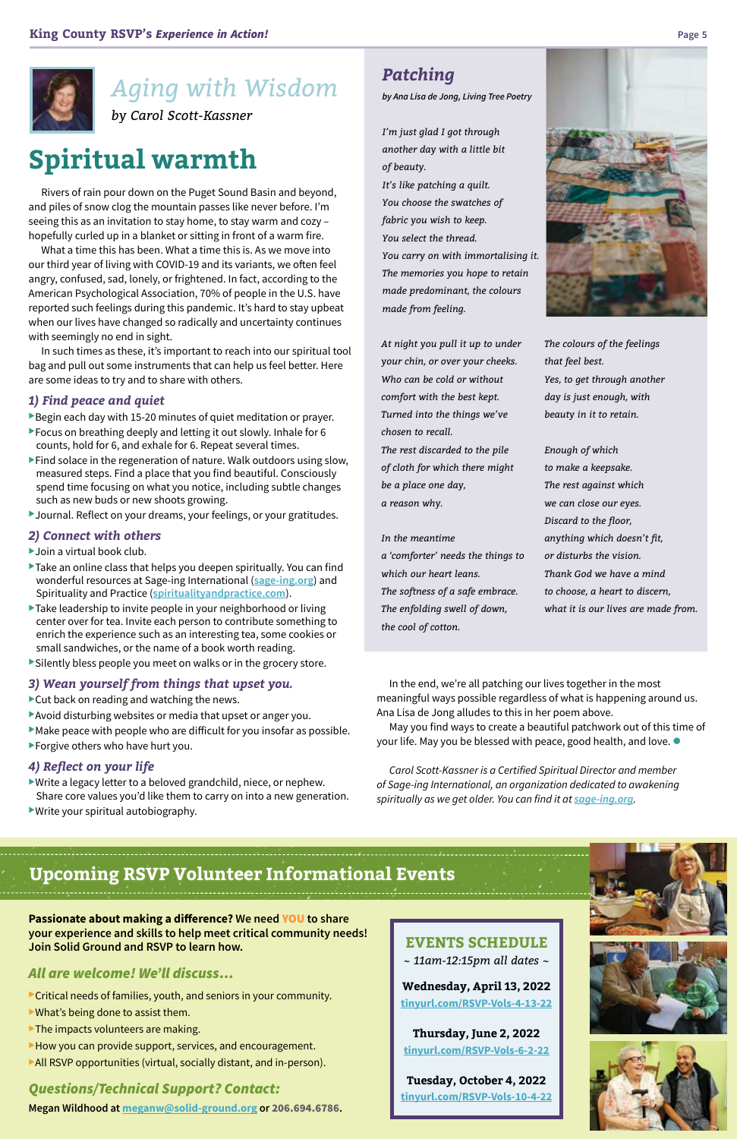Rivers of rain pour down on the Puget Sound Basin and beyond, and piles of snow clog the mountain passes like never before. I'm seeing this as an invitation to stay home, to stay warm and cozy – hopefully curled up in a blanket or sitting in front of a warm fire.

What a time this has been. What a time this is. As we move into our third year of living with COVID-19 and its variants, we often feel angry, confused, sad, lonely, or frightened. In fact, according to the American Psychological Association, 70% of people in the U.S. have reported such feelings during this pandemic. It's hard to stay upbeat when our lives have changed so radically and uncertainty continues with seemingly no end in sight.

In such times as these, it's important to reach into our spiritual tool bag and pull out some instruments that can help us feel better. Here are some ideas to try and to share with others.

#### *1) Find peace and quiet*

- Begin each day with 15-20 minutes of quiet meditation or prayer.
- $\blacktriangleright$  Focus on breathing deeply and letting it out slowly. Inhale for 6 counts, hold for 6, and exhale for 6. Repeat several times.
- $\blacktriangleright$  Find solace in the regeneration of nature. Walk outdoors using slow, measured steps. Find a place that you find beautiful. Consciously spend time focusing on what you notice, including subtle changes such as new buds or new shoots growing.
- ▶Journal. Reflect on your dreams, your feelings, or your gratitudes.

#### *2) Connect with others*

- $\blacktriangleright$  Join a virtual book club.
- $\blacktriangleright$  Take an online class that helps you deepen spiritually. You can find wonderful resources at Sage-ing International (**[sage-ing.org](https://www.sage-ing.org/)**) and Spirituality and Practice (**[spiritualityandpractice.com](https://www.spiritualityandpractice.com/)**).
- $\blacktriangleright$  Take leadership to invite people in your neighborhood or living center over for tea. Invite each person to contribute something to enrich the experience such as an interesting tea, some cookies or small sandwiches, or the name of a book worth reading.
- $\blacktriangleright$  Silently bless people you meet on walks or in the grocery store.

May you find ways to create a beautiful patchwork out of this time of your life. May you be blessed with peace, good health, and love.  $\bullet$ 

### *3) Wean yourself from things that upset you.*

- $\blacktriangleright$  Cut back on reading and watching the news.
- Avoid disturbing websites or media that upset or anger you.
- $\blacktriangleright$  Make peace with people who are difficult for you insofar as possible.
- $\blacktriangleright$  Forgive others who have hurt you.

#### *4) Reflect on your life*

- $\blacktriangleright$  Write a legacy letter to a beloved grandchild, niece, or nephew. Share core values you'd like them to carry on into a new generation.
- $\blacktriangleright$  Write your spiritual autobiography.

# *Aging with Wisdom*

*by Carol Scott-Kassner*

### *Patching*

*by Ana Lisa de Jong, Living Tree Poetry*

*I'm just glad I got through another day with a little bit of beauty. It's like patching a quilt. You choose the swatches of fabric you wish to keep. You select the thread. You carry on with immortalising it. The memories you hope to retain made predominant, the colours made from feeling.*

*At night you pull it up to under your chin, or over your cheeks. Who can be cold or without comfort with the best kept. Turned into the things we've chosen to recall.* 

*The rest discarded to the pile of cloth for which there might be a place one day, a reason why.*

#### *In the meantime*

*a 'comforter' needs the things to which our heart leans. The softness of a safe embrace. The enfolding swell of down, the cool of cotton.*



*The colours of the feelings that feel best. Yes, to get through another day is just enough, with beauty in it to retain.*

*Enough of which to make a keepsake. The rest against which we can close our eyes. Discard to the floor, anything which doesn't fit, or disturbs the vision. Thank God we have a mind to choose, a heart to discern, what it is our lives are made from.*

In the end, we're all patching our lives together in the most meaningful ways possible regardless of what is happening around us. Ana Lisa de Jong alludes to this in her poem above.

*Carol Scott-Kassner is a Certified Spiritual Director and member of Sage-ing International, an organization dedicated to awakening spiritually as we get older. You can find it at [sage-ing.org](https://www.sage-ing.org/).*





**Passionate about making a difference? We need** YOU **to share your experience and skills to help meet critical community needs! Join Solid Ground and RSVP to learn how.**

### *All are welcome! We'll discuss…*

Critical needs of families, youth, and seniors in your community.  $\blacktriangleright$  What's being done to assist them.

 $\blacktriangleright$  The impacts volunteers are making.

 $\blacktriangleright$  How you can provide support, services, and encouragement.  $\blacktriangleright$  All RSVP opportunities (virtual, socially distant, and in-person).

*Questions/Technical Support? Contact:*  **Megan Wildhood at meganw@solid-ground.org or** 206.694.6786**.**

### **EVENTS SCHEDULE**

*~ 11am-12:15pm all dates ~*

**Wednesday, April 13, 2022 [tinyurl.com/RSVP-Vols-4-13-22](https://us06web.zoom.us/meeting/register/tZIsc--srT4qHdMH7gya_oeVcqmJ0SKGzcpX?_x_zm_rtaid=Zn3L8Y5TRBSXTCQRXsVVUQ.1645742969335.73c61306bf2bd633293ff4dbe716cac7&_x_zm_rhtaid=593)**

**Thursday, June 2, 2022 [tinyurl.com/RSVP-Vols-6-2-22](https://us06web.zoom.us/meeting/register/tZEkfu6gpjIpHdGMG_6bS9zO8CfbBSDz7U4f?_x_zm_rtaid=Zn3L8Y5TRBSXTCQRXsVVUQ.1645742969335.73c61306bf2bd633293ff4dbe716cac7&_x_zm_rhtaid=593)**

**Tuesday, October 4, 2022 [tinyurl.com/RSVP-Vols-10-4-22](https://us06web.zoom.us/meeting/register/tZYvcu6ppzwrGtyEY2cY6JW7oIGA9V7xktpA?_x_zm_rtaid=Zn3L8Y5TRBSXTCQRXsVVUQ.1645742969335.73c61306bf2bd633293ff4dbe716cac7&_x_zm_rhtaid=593)**





# **Spiritual warmth**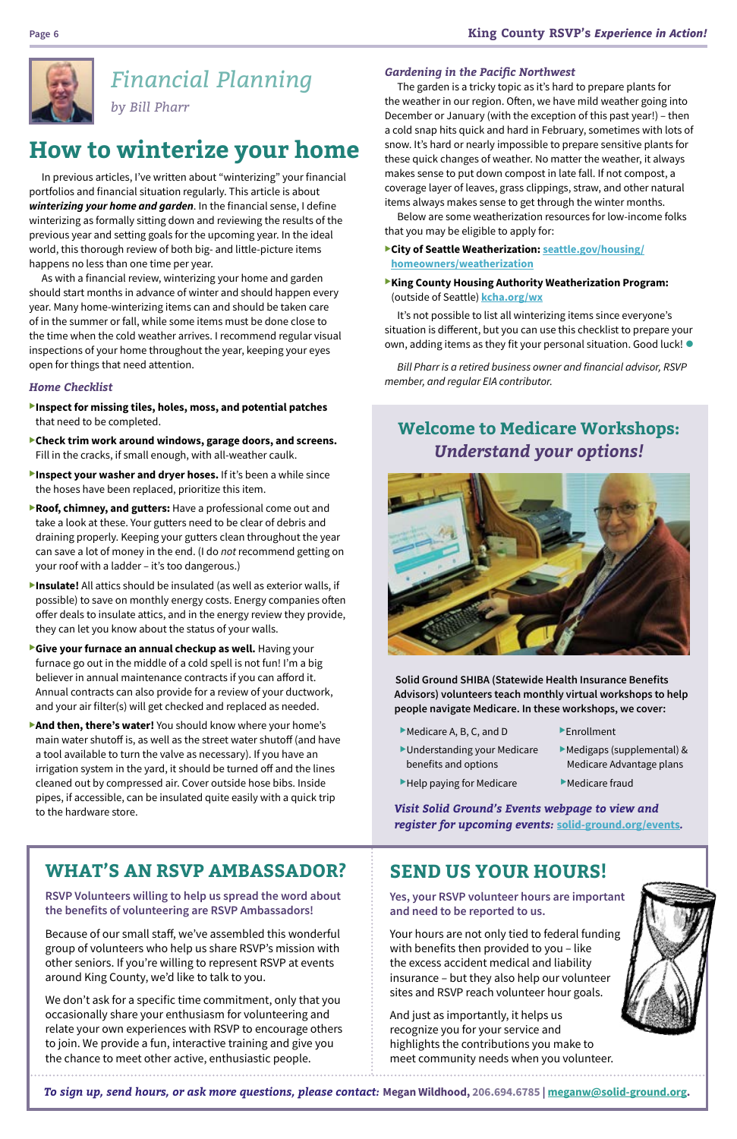

# *Financial Planning*

*by Bill Pharr*

In previous articles, I've written about "winterizing" your financial portfolios and financial situation regularly. This article is about *winterizing your home and garden*. In the financial sense, I define winterizing as formally sitting down and reviewing the results of the previous year and setting goals for the upcoming year. In the ideal world, this thorough review of both big- and little-picture items happens no less than one time per year.

As with a financial review, winterizing your home and garden should start months in advance of winter and should happen every year. Many home-winterizing items can and should be taken care of in the summer or fall, while some items must be done close to the time when the cold weather arrives. I recommend regular visual inspections of your home throughout the year, keeping your eyes open for things that need attention.

### *Home Checklist*

- **Inspect for missing tiles, holes, moss, and potential patches** that need to be completed.
- **Check trim work around windows, garage doors, and screens.** Fill in the cracks, if small enough, with all-weather caulk.
- **Inspect your washer and dryer hoses.** If it's been a while since the hoses have been replaced, prioritize this item.
- **Roof, chimney, and gutters:** Have a professional come out and take a look at these. Your gutters need to be clear of debris and draining properly. Keeping your gutters clean throughout the year can save a lot of money in the end. (I do *not* recommend getting on your roof with a ladder – it's too dangerous.)
- **Insulate!** All attics should be insulated (as well as exterior walls, if possible) to save on monthly energy costs. Energy companies often offer deals to insulate attics, and in the energy review they provide, they can let you know about the status of your walls.
- **Give your furnace an annual checkup as well.** Having your furnace go out in the middle of a cold spell is not fun! I'm a big believer in annual maintenance contracts if you can afford it. Annual contracts can also provide for a review of your ductwork, and your air filter(s) will get checked and replaced as needed.
- **And then, there's water!** You should know where your home's main water shutoff is, as well as the street water shutoff (and have a tool available to turn the valve as necessary). If you have an irrigation system in the yard, it should be turned off and the lines cleaned out by compressed air. Cover outside hose bibs. Inside pipes, if accessible, can be insulated quite easily with a quick trip to the hardware store.

It's not possible to list all winterizing items since everyone's situation is different, but you can use this checklist to prepare your own, adding items as they fit your personal situation. Good luck!  $\bullet$ 

### *Gardening in the Pacific Northwest*

- $\blacktriangleright$  Medicare A, B, C, and D  $\blacktriangleright$  Enrollment
- $\blacktriangleright$  Understanding your Medicare  $\blacktriangleright$  Medigaps (supplemental) & benefits and options Medicare Advantage plans
- 
- 
- $\blacktriangleright$  Help paying for Medicare  $\blacktriangleright$  Medicare fraud
- *Visit Solid Ground's Events webpage to view and register for upcoming events:* **[solid-ground.org/events](https://www.solid-ground.org/get-involved/events/)***.*

The garden is a tricky topic as it's hard to prepare plants for the weather in our region. Often, we have mild weather going into December or January (with the exception of this past year!) – then a cold snap hits quick and hard in February, sometimes with lots of snow. It's hard or nearly impossible to prepare sensitive plants for these quick changes of weather. No matter the weather, it always makes sense to put down compost in late fall. If not compost, a coverage layer of leaves, grass clippings, straw, and other natural items always makes sense to get through the winter months.

Below are some weatherization resources for low-income folks that you may be eligible to apply for:

- <sup>u</sup>**City of Seattle Weatherization: [seattle.gov/housing/](http://www.seattle.gov/housing/homeowners/weatherization) [homeowners/weatherization](http://www.seattle.gov/housing/homeowners/weatherization)**
- **King County Housing Authority Weatherization Program:** (outside of Seattle) **[kcha.org/wx](https://www.kcha.org/wx)**

*Bill Pharr is a retired business owner and financial advisor, RSVP member, and regular EIA contributor.*

# **How to winterize your home**

### **WHAT'S AN RSVP AMBASSADOR?**

**RSVP Volunteers willing to help us spread the word about the benefits of volunteering are RSVP Ambassadors!**

Because of our small staff, we've assembled this wonderful group of volunteers who help us share RSVP's mission with other seniors. If you're willing to represent RSVP at events around King County, we'd like to talk to you.

We don't ask for a specific time commitment, only that you occasionally share your enthusiasm for volunteering and relate your own experiences with RSVP to encourage others to join. We provide a fun, interactive training and give you the chance to meet other active, enthusiastic people.

## **SEND US YOUR HOURS!**

**Yes, your RSVP volunteer hours are important and need to be reported to us.**

Your hours are not only tied to federal funding with benefits then provided to you – like the excess accident medical and liability insurance – but they also help our volunteer sites and RSVP reach volunteer hour goals.

And just as importantly, it helps us recognize you for your service and highlights the contributions you make to meet community needs when you volunteer.



*To sign up, send hours, or ask more questions, please contact:* **Megan Wildhood, 206.694.6785 | meganw@solid-ground.org.**

**Solid Ground SHIBA (Statewide Health Insurance Benefits Advisors) volunteers teach monthly virtual workshops to help people navigate Medicare. In these workshops, we cover:**

### **Welcome to Medicare Workshops:** *Understand your options!*

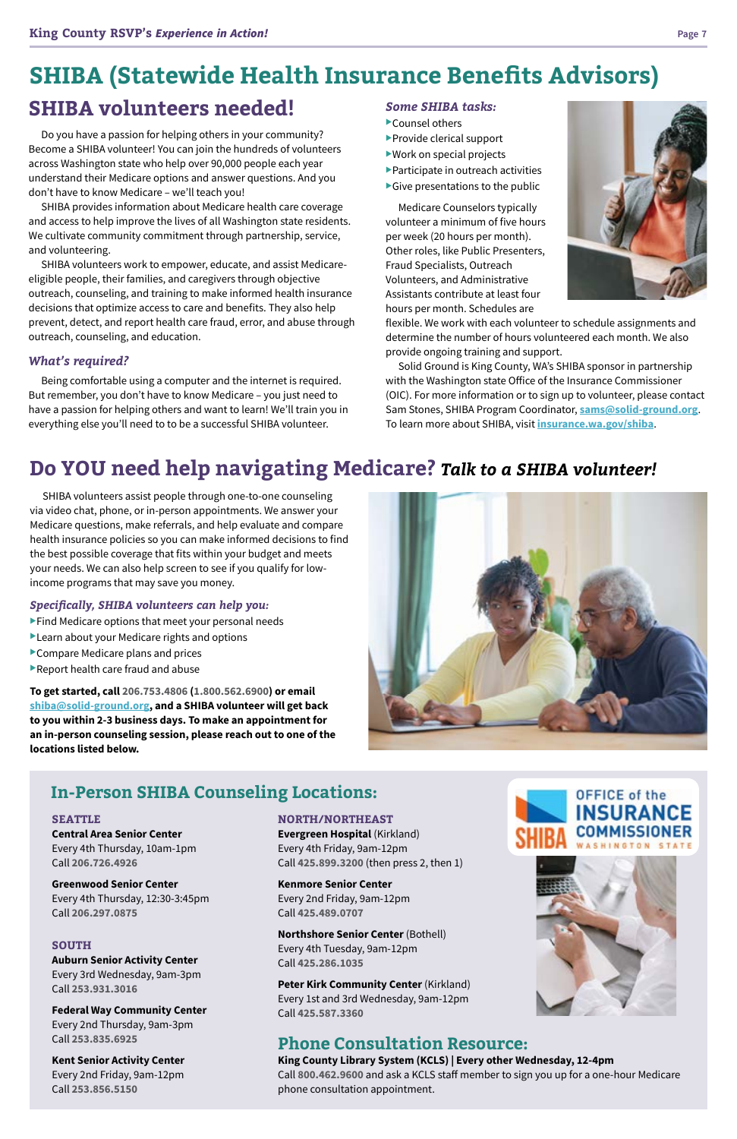# **SHIBA volunteers needed!**

Do you have a passion for helping others in your community? Become a SHIBA volunteer! You can join the hundreds of volunteers across Washington state who help over 90,000 people each year understand their Medicare options and answer questions. And you don't have to know Medicare – we'll teach you!

SHIBA provides information about Medicare health care coverage and access to help improve the lives of all Washington state residents. We cultivate community commitment through partnership, service, and volunteering.

SHIBA volunteers work to empower, educate, and assist Medicareeligible people, their families, and caregivers through objective outreach, counseling, and training to make informed health insurance decisions that optimize access to care and benefits. They also help prevent, detect, and report health care fraud, error, and abuse through outreach, counseling, and education.

### *What's required?*

Being comfortable using a computer and the internet is required. But remember, you don't have to know Medicare – you just need to have a passion for helping others and want to learn! We'll train you in everything else you'll need to to be a successful SHIBA volunteer.

SHIBA volunteers assist people through one-to-one counseling via video chat, phone, or in-person appointments. We answer your Medicare questions, make referrals, and help evaluate and compare health insurance policies so you can make informed decisions to find the best possible coverage that fits within your budget and meets your needs. We can also help screen to see if you qualify for lowincome programs that may save you money.

### *Specifically, SHIBA volunteers can help you:*

- $\blacktriangleright$  Find Medicare options that meet your personal needs
- $\blacktriangleright$  Learn about your Medicare rights and options
- $\blacktriangleright$  Compare Medicare plans and prices
- $\blacktriangleright$  Report health care fraud and abuse

**Northshore Senior Center (Bothell)** Every 4th Tuesday, 9am-12pm Call **425.286.1035**

# **SHIBA (Statewide Health Insurance Benefits Advisors)**

**SEATTLE Central Area Senior Center** Every 4th Thursday, 10am-1pm Call **206.726.4926**

**Greenwood Senior Center**

Every 4th Thursday, 12:30-3:45pm Call **206.297.0875**

#### **SOUTH**

**Auburn Senior Activity Center**  Every 3rd Wednesday, 9am-3pm Call **253.931.3016**

**Federal Way Community Center**

Every 2nd Thursday, 9am-3pm Call **253.835.6925**

**Kent Senior Activity Center** Every 2nd Friday, 9am-12pm Call **253.856.5150**

### *Some SHIBA tasks:*

- $\blacktriangleright$  Counsel others
- $\blacktriangleright$  Provide clerical support
- $\blacktriangleright$  Work on special projects
- $\blacktriangleright$  Participate in outreach activities
- $\blacktriangleright$  Give presentations to the public

Medicare Counselors typically volunteer a minimum of five hours per week (20 hours per month). Other roles, like Public Presenters, Fraud Specialists, Outreach Volunteers, and Administrative Assistants contribute at least four hours per month. Schedules are

flexible. We work with each volunteer to schedule assignments and determine the number of hours volunteered each month. We also provide ongoing training and support.

Solid Ground is King County, WA's SHIBA sponsor in partnership with the Washington state Office of the Insurance Commissioner (OIC). For more information or to sign up to volunteer, please contact Sam Stones, SHIBA Program Coordinator, **[sams@solid-ground.org](mailto:sams@solid-ground.org)**. To learn more about SHIBA, visit **[insurance.wa.gov/shiba](http://www.insurance.wa.gov/shiba)**.

# **Do YOU need help navigating Medicare?** *Talk to a SHIBA volunteer!*

**NORTH/NORTHEAST Evergreen Hospital** (Kirkland) Every 4th Friday, 9am-12pm Call **425.899.3200** (then press 2, then 1)



**Kenmore Senior Center** Every 2nd Friday, 9am-12pm Call **425.489.0707**

**Peter Kirk Community Center** (Kirkland) Every 1st and 3rd Wednesday, 9am-12pm Call **425.587.3360**



### **Phone Consultation Resource:**

#### **King County Library System (KCLS) | Every other Wednesday, 12-4pm**

Call **800.462.9600** and ask a KCLS staff member to sign you up for a one-hour Medicare phone consultation appointment.

**To get started, call 206.753.4806 (1.800.562.6900) or email [shiba@solid-ground.org,](mailto:shiba@solid-ground.org) and a SHIBA volunteer will get back to you within 2-3 business days. To make an appointment for an in-person counseling session, please reach out to one of the locations listed below.**



### **In-Person SHIBA Counseling Locations:**